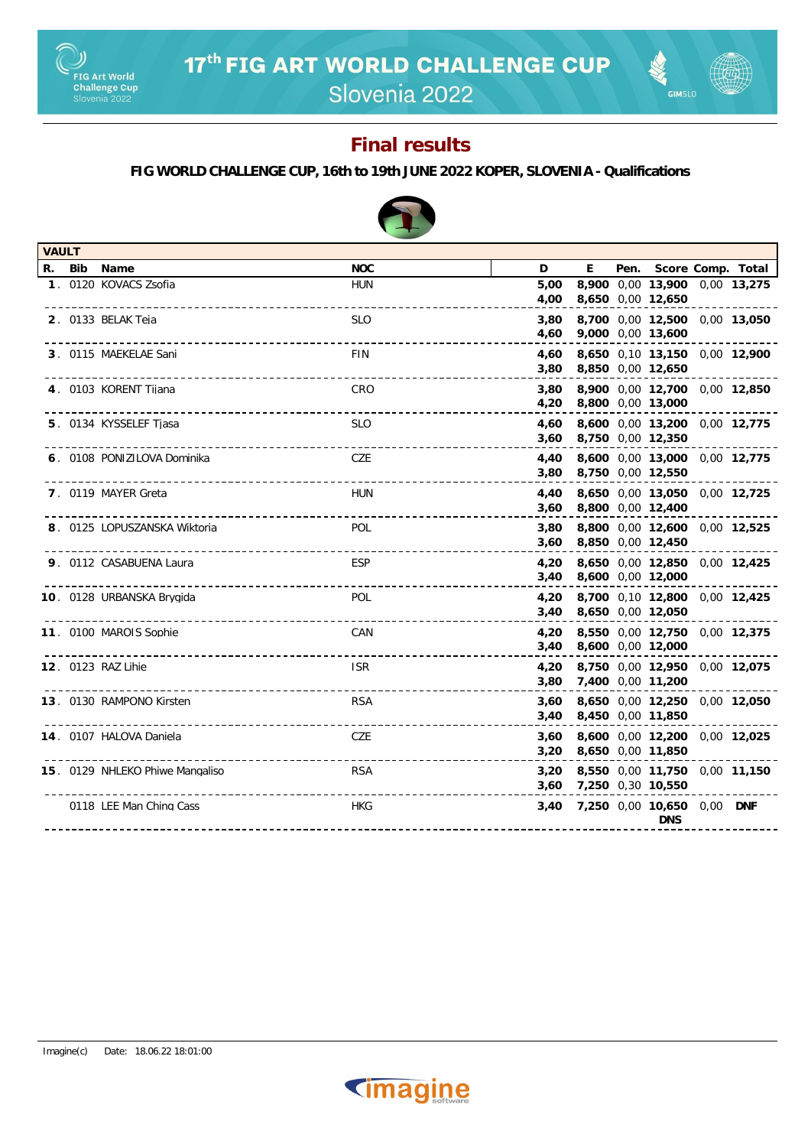

Slovenia 2022

**GIMSLO** 

### **Final results**

#### **FIG WORLD CHALLENGE CUP, 16th to 19th JUNE 2022 KOPER, SLOVENIA - Qualifications**

| <b>VAULT</b> |                                                                    |                        |              |                        |                                                    |  |
|--------------|--------------------------------------------------------------------|------------------------|--------------|------------------------|----------------------------------------------------|--|
|              | R. Bib Name                                                        | <b>NOC</b>             | D            | E                      | Pen. Score Comp. Total                             |  |
|              | 1. 0120 KOVACS Zsofia                                              | <b>HUN</b>             | 5.00<br>4,00 | 8,650 0,00 12,650      | 8,900 0,00 13,900 0,00 13,275                      |  |
|              | 2. 0133 BELAK Teja                                                 | <b>SLO</b>             | 3,80<br>4,60 |                        | 8,700 0,00 12,500 0,00 13,050<br>9,000 0,00 13,600 |  |
|              | 3. 0115 MAEKELAE Sani                                              | <b>FIN</b>             | 4,60<br>3,80 |                        | 8,650 0,10 13,150 0,00 12,900<br>8,850 0,00 12,650 |  |
|              | 4. 0103 KORENT Tijana                                              | CRO                    | 3,80<br>4,20 |                        | 8,900 0,00 12,700 0,00 12,850<br>8,800 0,00 13,000 |  |
|              | 5. 0134 KYSSELEF Tjasa                                             | <b>SLO</b><br><u>.</u> | 4,60<br>3,60 |                        | 8,600 0,00 13,200 0,00 12,775<br>8,750 0,00 12,350 |  |
|              | 6. 0108 PONIZILOVA Dominika<br>----------------------              | CZE                    | 4,40<br>3,80 |                        | 8,600 0,00 13,000 0,00 12,775<br>8,750 0,00 12,550 |  |
|              | 7. 0119 MAYER Greta<br>___________________                         | <b>HUN</b>             | 4,40<br>3,60 | 8,800 0,00 12,400      | 8,650 0,00 13,050 0,00 12,725                      |  |
|              | 8. 0125 LOPUSZANSKA Wiktoria<br>---------------------------------- | <b>POL</b>             | 3,80<br>3,60 | 8,850 0,00 12,450      | 8,800 0,00 12,600 0,00 12,525                      |  |
|              | 9. 0112 CASABUENA Laura                                            | <b>ESP</b>             | 4,20         | 3,40 8,600 0,00 12,000 | 8,650 0,00 12,850 0,00 12,425                      |  |
|              | 10. 0128 URBANSKA Brygida                                          | <b>POL</b>             | 4,20         | 3,40 8,650 0,00 12,050 | 8,700 0,10 12,800 0,00 12,425                      |  |
|              | 11. 0100 MAROIS Sophie                                             | CAN                    | 4,20<br>3,40 |                        | 8,550 0,00 12,750 0,00 12,375<br>8,600 0,00 12,000 |  |
|              | 12. 0123 RAZ Lihie                                                 | <b>ISR</b>             | 4,20<br>3,80 | 7,400 0,00 11,200      | 8,750 0,00 12,950 0,00 12,075                      |  |
|              | 13. 0130 RAMPONO Kirsten                                           | <b>RSA</b>             | 3,60<br>3,40 |                        | 8,650 0,00 12,250 0,00 12,050<br>8,450 0,00 11,850 |  |
|              | 14. 0107 HALOVA Daniela                                            | CZE                    | 3,60<br>3,20 |                        | 8,600 0,00 12,200 0,00 12,025<br>8,650 0,00 11,850 |  |
|              | 15. 0129 NHLEKO Phiwe Mangaliso<br>-----------------------------   | <b>RSA</b>             | 3,20         | 3,60 7,250 0,30 10,550 | 8,550 0,00 11,750 0,00 11,150                      |  |
|              | 0118 LEE Man Ching Cass                                            | <b>HKG</b>             | 3,40         |                        | 7,250 0,00 10,650 0,00 DNF<br><b>DNS</b>           |  |
|              |                                                                    |                        |              |                        |                                                    |  |

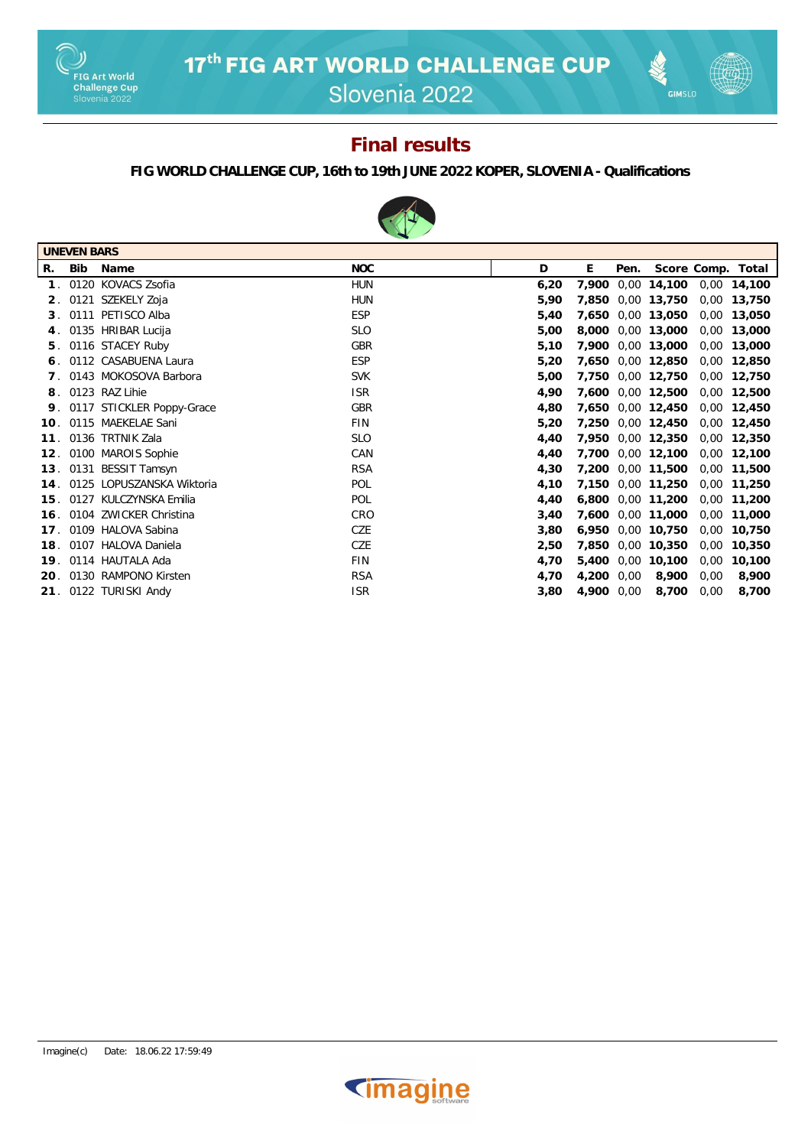

Slovenia 2022

# **GIMSLO**

### **Final results**

#### **FIG WORLD CHALLENGE CUP, 16th to 19th JUNE 2022 KOPER, SLOVENIA - Qualifications**



| <b>UNEVEN BARS</b> |            |                           |            |      |            |      |                   |      |                   |
|--------------------|------------|---------------------------|------------|------|------------|------|-------------------|------|-------------------|
| R.                 | <b>Bib</b> | Name                      | <b>NOC</b> | D    | E.         | Pen. |                   |      | Score Comp. Total |
| 1 <sup>1</sup>     |            | 0120 KOVACS Zsofia        | <b>HUN</b> | 6,20 | 7,900      |      | 0,00 14,100       | 0,00 | 14,100            |
| 2.                 |            | 0121 SZEKELY Zoja         | <b>HUN</b> | 5,90 | 7,850      |      | 0,00 13,750       | 0,00 | 13,750            |
| 3.                 |            | 0111 PETISCO Alba         | <b>ESP</b> | 5,40 | 7,650      |      | 0,00 13,050       | 0,00 | 13,050            |
| 4.                 |            | 0135 HRIBAR Lucija        | <b>SLO</b> | 5,00 | 8,000      |      | 0,00 13,000       | 0,00 | 13,000            |
| 5.                 |            | 0116 STACEY Ruby          | <b>GBR</b> | 5,10 | 7,900      |      | 0,00 13,000       | 0,00 | 13,000            |
|                    |            | 0112 CASABUENA Laura      | <b>ESP</b> | 5,20 | 7,650      |      | 0,00 12,850       | 0,00 | 12,850            |
|                    |            | 0143 MOKOSOVA Barbora     | <b>SVK</b> | 5,00 | 7,750      |      | 0,00 12,750       | 0,00 | 12,750            |
| 8.                 |            | 0123 RAZ Lihie            | <b>ISR</b> | 4,90 | 7,600      |      | 0,00 12,500       | 0,00 | 12,500            |
| 9.                 |            | 0117 STICKLER Poppy-Grace | GBR        | 4,80 | 7,650      |      | 0,00 12,450       | 0,00 | 12,450            |
| 10.                |            | 0115 MAEKELAE Sani        | <b>FIN</b> | 5,20 | 7,250      |      | 0,00 12,450       | 0,00 | 12,450            |
| 11.                |            | 0136 TRTNIK Zala          | <b>SLO</b> | 4,40 | 7.950      |      | 0,00 12,350       | 0,00 | 12,350            |
| 12.                |            | 0100 MAROIS Sophie        | CAN        | 4,40 | 7,700      |      | 0,00 12,100       | 0,00 | 12,100            |
| 13.                |            | 0131 BESSIT Tamsyn        | <b>RSA</b> | 4,30 |            |      | 7,200 0,00 11,500 | 0,00 | 11,500            |
| 14.                |            | 0125 LOPUSZANSKA Wiktoria | POL        | 4,10 | 7,150      |      | 0,00 11,250       | 0,00 | 11,250            |
| 15.                |            | 0127 KULCZYNSKA Emilia    | POL        | 4,40 | 6,800      |      | 0,00 11,200       | 0,00 | 11,200            |
| 16.                |            | 0104 ZWICKER Christina    | CRO        | 3,40 | 7,600      |      | 0,00 11,000       | 0,00 | 11,000            |
| 17.                |            | 0109 HALOVA Sabina        | CZE        | 3,80 | 6,950      |      | 0,00 10,750       | 0,00 | 10,750            |
| 18.                |            | 0107 HALOVA Daniela       | CZE        | 2,50 | 7,850      |      | 0,00 10,350       | 0,00 | 10,350            |
| 19.                |            | 0114 HAUTALA Ada          | <b>FIN</b> | 4,70 | 5,400      |      | 0,00 10,100       | 0,00 | 10,100            |
| 20.                |            | 0130 RAMPONO Kirsten      | <b>RSA</b> | 4,70 | 4,200      | 0,00 | 8,900             | 0,00 | 8,900             |
|                    |            | 21. 0122 TURISKI Andy     | <b>ISR</b> | 3,80 | 4,900 0,00 |      | 8,700             | 0,00 | 8,700             |

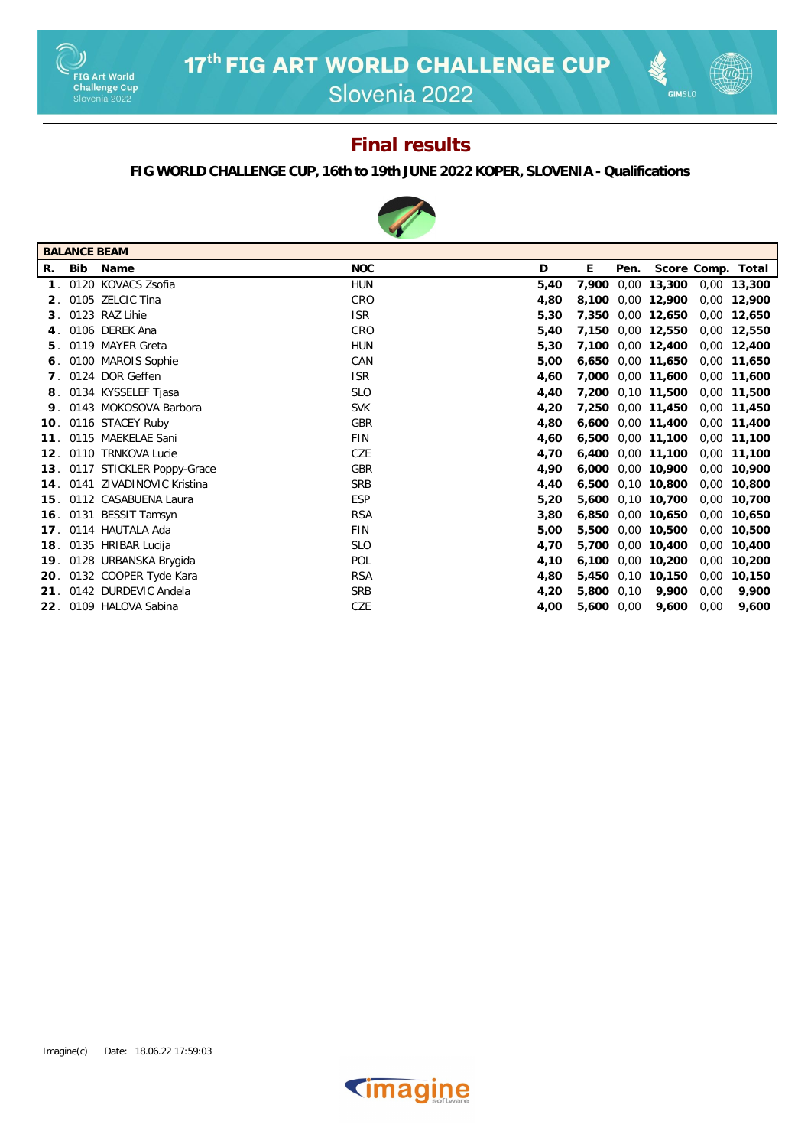



## **Final results**

#### **FIG WORLD CHALLENGE CUP, 16th to 19th JUNE 2022 KOPER, SLOVENIA - Qualifications**



|                 | <b>BALANCE BEAM</b> |                               |            |      |                   |             |      |                   |
|-----------------|---------------------|-------------------------------|------------|------|-------------------|-------------|------|-------------------|
| R.              | Bib                 | Name                          | <b>NOC</b> | D    | E<br>Pen.         |             |      | Score Comp. Total |
|                 |                     | 0120 KOVACS Zsofia            | <b>HUN</b> | 5,40 | 7.900             | 0,00 13,300 |      | 0,00 13,300       |
| 2 <sub>1</sub>  |                     | 0105 ZELCIC Tina              | CRO        | 4,80 | 8,100 0,00 12,900 |             |      | 0,00 12,900       |
| 3.              |                     | 0123 RAZ Lihie                | <b>ISR</b> | 5,30 | 7.350             | 0,00 12,650 | 0,00 | 12,650            |
| 4.              |                     | 0106 DEREK Ana                | CRO        | 5,40 | 7,150 0,00 12,550 |             |      | 0,00 12,550       |
| 5.              |                     | 0119 MAYER Greta              | <b>HUN</b> | 5,30 | 7.100             | 0,00 12,400 |      | 0,00 12,400       |
| 6.              |                     | 0100 MAROIS Sophie            | CAN        | 5,00 | 6.650 0.00 11.650 |             |      | 0,00 11,650       |
|                 |                     | 0124 DOR Geffen               | <b>ISR</b> | 4,60 | 7.000             | 0,00 11,600 | 0,00 | 11,600            |
| 8.              |                     | 0134 KYSSELEF Tjasa           | <b>SLO</b> | 4.40 | 7,200 0,10 11,500 |             | 0.00 | 11,500            |
| 9.              |                     | 0143 MOKOSOVA Barbora         | <b>SVK</b> | 4,20 | 7,250 0,00 11,450 |             | 0,00 | 11,450            |
| 10 <sub>1</sub> |                     | 0116 STACEY Ruby              | GBR        | 4,80 | 6.600             | 0,00 11,400 | 0,00 | 11,400            |
| 11.             |                     | 0115 MAEKELAE Sani            | <b>FIN</b> | 4,60 | 6,500 0,00 11,100 |             | 0,00 | 11,100            |
| 12 <sub>1</sub> |                     | 0110 TRNKOVA Lucie            | CZE        | 4,70 | 6,400             | 0,00 11,100 | 0,00 | 11,100            |
|                 |                     | 13. 0117 STICKLER Poppy-Grace | GBR        | 4.90 | 6,000 0,00 10,900 |             |      | 0,00 10,900       |
|                 |                     | 14. 0141 ZIVADINOVIC Kristina | <b>SRB</b> | 4,40 | 6,500             | 0,10 10,800 | 0,00 | 10,800            |
|                 |                     | 15. 0112 CASABUENA Laura      | <b>ESP</b> | 5,20 | 5,600 0,10 10,700 |             |      | 0,00 10,700       |
|                 |                     | 16. 0131 BESSIT Tamsyn        | <b>RSA</b> | 3.80 | 6.850             | 0,00 10,650 | 0,00 | 10.650            |
|                 |                     | 17. 0114 HAUTALA Ada          | <b>FIN</b> | 5,00 | 5,500 0,00 10,500 |             |      | 0,00 10,500       |
| 18.             |                     | 0135 HRIBAR Lucija            | <b>SLO</b> | 4,70 | 5,700             | 0,00 10,400 | 0,00 | 10,400            |
| 19.             |                     | 0128 URBANSKA Brygida         | POL        | 4,10 | 6.100             | 0,00 10,200 |      | 0,00 10,200       |
|                 |                     | 20. 0132 COOPER Tyde Kara     | <b>RSA</b> | 4,80 | 5,450 0,10 10,150 |             | 0,00 | 10,150            |
| 21.             |                     | 0142 DURDEVIC Andela          | <b>SRB</b> | 4,20 | 5,800 0.10        | 9,900       | 0.00 | 9.900             |
|                 |                     | 22. 0109 HALOVA Sabina        | CZE        | 4,00 | 5,600 0,00        | 9,600       | 0,00 | 9.600             |